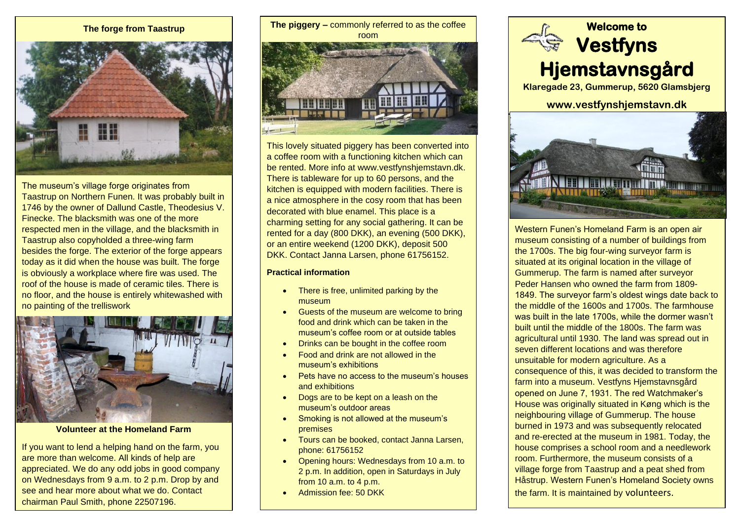

The museum's village forge originates from Taastrup on Northern Funen. It was probably built in 1746 by the owner of Dallund Castle, Theodesius V. Finecke. The blacksmith was one of the more respected men in the village, and the blacksmith in Taastrup also copyholded a three-wing farm besides the forge. The exterior of the forge appears today as it did when the house was built. The forge is obviously a workplace where fire was used. The roof of the house is made of ceramic tiles. There is no floor, and the house is entirely whitewashed with no painting of the trelliswork



## **Volunteer at the Homeland Farm**

If you want to lend a helping hand on the farm, you are more than welcome. All kinds of help are appreciated. We do any odd jobs in good company on Wednesdays from 9 a.m. to 2 p.m. Drop by and see and hear more about what we do. Contact chairman Paul Smith, phone 22507196.

The forge from Taastrup<br>
The piggery – commonly referred to as the coffee **The State of the Welcome to** room **HHIHHH Resear** 

> This lovely situated piggery has been converted into a coffee room with a functioning kitchen which can be rented. More info at [www.vestfynshjemstavn.dk.](http://www.vestfynshjemstavn.dk/) There is tableware for up to 60 persons, and the kitchen is equipped with modern facilities. There is a nice atmosphere in the cosy room that has been decorated with blue enamel. This place is a charming setting for any social gathering. It can be rented for a day (800 DKK), an evening (500 DKK), or an entire weekend (1200 DKK), deposit 500 DKK. Contact Janna Larsen, phone 61756152.

#### **Practical information**

- There is free, unlimited parking by the museum
- Guests of the museum are welcome to bring food and drink which can be taken in the museum's coffee room or at outside tables
- Drinks can be bought in the coffee room
- Food and drink are not allowed in the museum's exhibitions
- Pets have no access to the museum's houses and exhibitions
- Dogs are to be kept on a leash on the museum's outdoor areas
- Smoking is not allowed at the museum's premises
- Tours can be booked, contact Janna Larsen, phone: 61756152
- Opening hours: Wednesdays from 10 a.m. to 2 p.m. In addition, open in Saturdays in July from 10 a.m. to 4 p.m.
- Admission fee: 50 DKK



**Klaregade 23, Gummerup, 5620 Glamsbjerg** 

# **www.vestfynshjemstavn.dk**



Western Funen's Homeland Farm is an open air museum consisting of a number of buildings from the 1700s. The big four-wing surveyor farm is situated at its original location in the village of Gummerup. The farm is named after surveyor Peder Hansen who owned the farm from 1809- 1849. The surveyor farm's oldest wings date back to the middle of the 1600s and 1700s. The farmhouse was built in the late 1700s, while the dormer wasn't built until the middle of the 1800s. The farm was agricultural until 1930. The land was spread out in seven different locations and was therefore unsuitable for modern agriculture. As a consequence of this, it was decided to transform the farm into a museum. Vestfyns Hjemstavnsgård opened on June 7, 1931. The red Watchmaker's House was originally situated in Køng which is the neighbouring village of Gummerup. The house burned in 1973 and was subsequently relocated and re-erected at the museum in 1981. Today, the house comprises a school room and a needlework room. Furthermore, the museum consists of a village forge from Taastrup and a peat shed from Håstrup. Western Funen's Homeland Society owns the farm. It is maintained by volunteers.